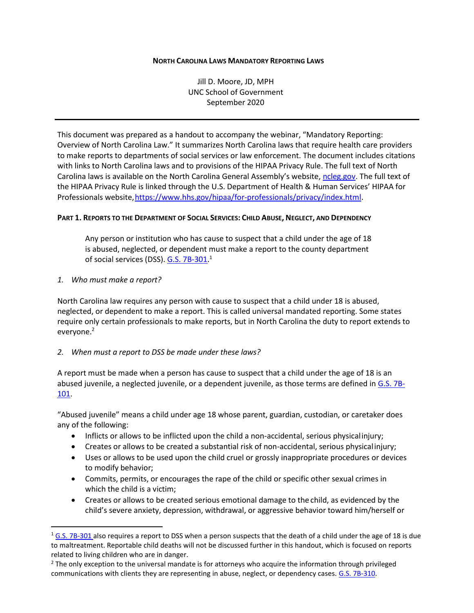#### **NORTH CAROLINA LAWS MANDATORY REPORTING LAWS**

Jill D. Moore, JD, MPH UNC School of Government September 2020

This document was prepared as a handout to accompany the webinar, "Mandatory Reporting: Overview of North Carolina Law." It summarizes North Carolina laws that require health care providers to make reports to departments of social services or law enforcement. The document includes citations with links to North Carolina laws and to provisions of the HIPAA Privacy Rule. The full text of North Carolina laws is available on the North Carolina General Assembly's website, [ncleg.gov.](https://ncleg.gov/) The full text of the HIPAA Privacy Rule is linked through the U.S. Department of Health & Human Services' HIPAA for Professionals website[,https://www.hhs.gov/hipaa/for-professionals/privacy/index.html.](https://www.hhs.gov/hipaa/for-professionals/privacy/index.html)

#### PART 1. REPORTS TO THE DEPARTMENT OF SOCIAL SERVICES: CHILD ABUSE, NEGLECT, AND DEPENDENCY

Any person or institution who has cause to suspect that a child under the age of 18 is abused, neglected, or dependent must make a report to the county department of social services (DSS). <u>G.S. 7B-301</u>.<sup>1</sup>

*1. Who must make a report?*

North Carolina law requires any person with cause to suspect that a child under 18 is abused, neglected, or dependent to make a report. This is called universal mandated reporting. Some states require only certain professionals to make reports, but in North Carolina the duty to report extends to everyone.<sup>2</sup>

#### *2. When must a report to DSS be made under these laws?*

A report must be made when a person has cause to suspect that a child under the age of 18 is an abused juvenile, a neglected juvenile, or a dependent juvenile, as those terms are defined in [G.S. 7B-](https://www.ncleg.net/gascripts/statutes/statutelookup.pl?statute=7b-101)[101.](https://www.ncleg.net/gascripts/statutes/statutelookup.pl?statute=7b-101)

"Abused juvenile" means a child under age 18 whose parent, guardian, custodian, or caretaker does any of the following:

- Inflicts or allows to be inflicted upon the child a non-accidental, serious physicalinjury;
- Creates or allows to be created a substantial risk of non-accidental, serious physicalinjury;
- Uses or allows to be used upon the child cruel or grossly inappropriate procedures or devices to modify behavior;
- Commits, permits, or encourages the rape of the child or specific other sexual crimes in which the child is a victim;
- Creates or allows to be created serious emotional damage to the child, as evidenced by the child's severe anxiety, depression, withdrawal, or aggressive behavior toward him/herself or

 $1$  [G.S. 7B-301 a](https://www.ncleg.net/gascripts/statutes/statutelookup.pl?statute=7b-301)lso requires a report to DSS when a person suspects that the death of a child under the age of 18 is due to maltreatment. Reportable child deaths will not be discussed further in this handout, which is focused on reports related to living children who are in danger.

<sup>&</sup>lt;sup>2</sup> The only exception to the universal mandate is for attorneys who acquire the information through privileged communications with clients they are representing in abuse, neglect, or dependency cases[. G.S. 7B-310.](https://www.ncleg.net/gascripts/statutes/statutelookup.pl?statute=7b-310)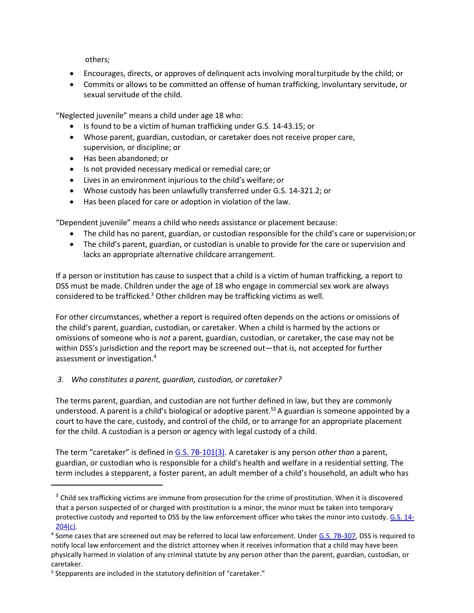others;

- Encourages, directs, or approves of delinguent acts involving moral turpitude by the child; or
- Commits or allows to be committed an offense of human trafficking, involuntary servitude, or sexual servitude of the child.

"Neglected juvenile" means a child under age 18 who:

- Is found to be a victim of human trafficking under G.S. 14-43.15; or
- Whose parent, guardian, custodian, or caretaker does not receive proper care, supervision, or discipline; or
- Has been abandoned; or
- Is not provided necessary medical or remedial care; or
- Lives in an environment injurious to the child's welfare; or
- Whose custody has been unlawfully transferred under G.S. 14-321.2; or
- Has been placed for care or adoption in violation of the law.

"Dependent juvenile" means a child who needs assistance or placement because:

- The child has no parent, guardian, or custodian responsible for the child's care or supervision;or
- The child's parent, guardian, or custodian is unable to provide for the care or supervision and lacks an appropriate alternative childcare arrangement.

If a person or institution has cause to suspect that a child is a victim of human trafficking, a report to DSS must be made. Children under the age of 18 who engage in commercial sex work are always considered to be trafficked.<sup>3</sup> Other children may be trafficking victims as well.

For other circumstances, whether a report is required often depends on the actions or omissions of the child's parent, guardian, custodian, or caretaker. When a child is harmed by the actions or omissions of someone who is *not* a parent, guardian, custodian, or caretaker, the case may not be within DSS's jurisdiction and the report may be screened out—that is, not accepted for further assessment or investigation.<sup>4</sup>

# *3. Who constitutes a parent, guardian, custodian, or caretaker?*

The terms parent, guardian, and custodian are not further defined in law, but they are commonly understood. A parent is a child's biological or adoptive parent.<sup>55</sup> A guardian is someone appointed by a court to have the care, custody, and control of the child, or to arrange for an appropriate placement for the child. A custodian is a person or agency with legal custody of a child.

The term "caretaker" is defined in [G.S. 7B-101\(3\).](https://www.ncleg.net/gascripts/statutes/statutelookup.pl?statute=7b-101) A caretaker is any person *other than* a parent, guardian, or custodian who is responsible for a child's health and welfare in a residential setting. The term includes a stepparent, a foster parent, an adult member of a child's household, an adult who has

<sup>&</sup>lt;sup>3</sup> Child sex trafficking victims are immune from prosecution for the crime of prostitution. When it is discovered that a person suspected of or charged with prostitution is a minor, the minor must be taken into temporary protective custody and reported to DSS by the law enforcement officer who takes the minor into custody[. G.S. 14-](https://www.ncleg.net/gascripts/statutes/statutelookup.pl?statute=14-204) [204\(c\).](https://www.ncleg.net/gascripts/statutes/statutelookup.pl?statute=14-204)

<sup>&</sup>lt;sup>4</sup> Some cases that are screened out may be referred to local law enforcement. Under [G.S. 7B-307,](https://www.ncleg.net/gascripts/statutes/statutelookup.pl?statute=7b-307) DSS is required to notify local law enforcement and the district attorney when it receives information that a child may have been physically harmed in violation of any criminal statute by any person other than the parent, guardian, custodian, or caretaker.

<sup>&</sup>lt;sup>5</sup> Stepparents are included in the statutory definition of "caretaker."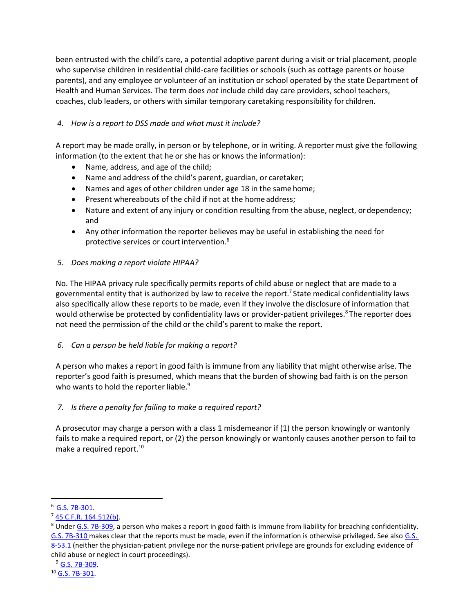been entrusted with the child's care, a potential adoptive parent during a visit or trial placement, people who supervise children in residential child-care facilities or schools (such as cottage parents or house parents), and any employee or volunteer of an institution or school operated by the state Department of Health and Human Services. The term does *not* include child day care providers, school teachers, coaches, club leaders, or others with similar temporary caretaking responsibility for children.

# *4. How is a report to DSS made and what must it include?*

A report may be made orally, in person or by telephone, or in writing. A reporter must give the following information (to the extent that he or she has or knows the information):

- Name, address, and age of the child;
- Name and address of the child's parent, guardian, or caretaker;
- Names and ages of other children under age 18 in the same home;
- Present whereabouts of the child if not at the home address;
- Nature and extent of any injury or condition resulting from the abuse, neglect, or dependency; and
- Any other information the reporter believes may be useful in establishing the need for protective services or court intervention. 6

# *5. Does making a report violate HIPAA?*

No. The HIPAA privacy rule specifically permits reports of child abuse or neglect that are made to a governmental entity that is authorized by law to receive the report.<sup>7</sup> State medical confidentiality laws also specifically allow these reports to be made, even if they involve the disclosure of information that would otherwise be protected by confidentiality laws or provider-patient privileges.<sup>8</sup> The reporter does not need the permission of the child or the child's parent to make the report.

# *6. Can a person be held liable for making a report?*

A person who makes a report in good faith is immune from any liability that might otherwise arise. The reporter's good faith is presumed, which means that the burden of showing bad faith is on the person who wants to hold the reporter liable.<sup>9</sup>

# *7. Is there a penalty for failing to make a required report?*

A prosecutor may charge a person with a class 1 misdemeanor if (1) the person knowingly or wantonly fails to make a required report, or (2) the person knowingly or wantonly causes another person to fail to make a required report.<sup>10</sup>

<sup>6</sup> [G.S. 7B-301.](https://www.ncleg.net/gascripts/statutes/statutelookup.pl?statute=7b-301)

<sup>7</sup> [45 C.F.R. 164.512\(b\).](https://www.ecfr.gov/cgi-bin/text-idx?SID=b73b1b370f7aa1468cf29a783bf93ba1&mc=true&node=se45.1.164_1512&rgn=div8)

 $8$  Under [G.S. 7B-309,](https://www.ncleg.net/gascripts/statutes/statutelookup.pl?statute=7b-309) a person who makes a report in good faith is immune from liability for breaching confidentiality. [G.S. 7B-310 m](https://www.ncleg.net/gascripts/statutes/statutelookup.pl?statute=7b-310)akes clear that the reports must be made, even if the information is otherwise privileged. See also G.S. [8-53.1 \(](https://www.ncleg.net/gascripts/statutes/statutelookup.pl?statute=8-53.1)neither the physician-patient privilege nor the nurse-patient privilege are grounds for excluding evidence of child abuse or neglect in court proceedings).

<sup>9</sup> [G.S. 7B-309.](https://www.ncleg.net/gascripts/statutes/statutelookup.pl?statute=7b-309)

<sup>10</sup> [G.S. 7B-301.](https://www.ncleg.net/gascripts/statutes/statutelookup.pl?statute=7b-301)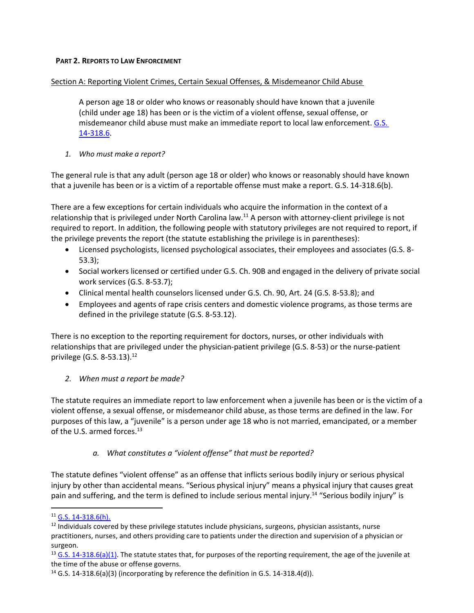#### **PART 2. REPORTS TO LAW ENFORCEMENT**

## Section A: Reporting Violent Crimes, Certain Sexual Offenses, & Misdemeanor Child Abuse

A person age 18 or older who knows or reasonably should have known that a juvenile (child under age 18) has been or is the victim of a violent offense, sexual offense, or misdemeanor child abuse must make an immediate report to local law enforcement. G.S. [14-318.6.](https://www.ncleg.gov/EnactedLegislation/Statutes/HTML/BySection/Chapter_14/GS_14-318.6.html)

*1. Who must make a report?*

The general rule is that any adult (person age 18 or older) who knows or reasonably should have known that a juvenile has been or is a victim of a reportable offense must make a report. G.S. 14-318.6(b).

There are a few exceptions for certain individuals who acquire the information in the context of a relationship that is privileged under North Carolina law.<sup>11</sup> A person with attorney-client privilege is not required to report. In addition, the following people with statutory privileges are not required to report, if the privilege prevents the report (the statute establishing the privilege is in parentheses):

- Licensed psychologists, licensed psychological associates, their employees and associates (G.S. 8- 53.3);
- Social workers licensed or certified under G.S. Ch. 90B and engaged in the delivery of private social work services (G.S. 8-53.7);
- Clinical mental health counselors licensed under G.S. Ch. 90, Art. 24 (G.S. 8-53.8); and
- Employees and agents of rape crisis centers and domestic violence programs, as those terms are defined in the privilege statute (G.S. 8-53.12).

There is no exception to the reporting requirement for doctors, nurses, or other individuals with relationships that are privileged under the physician-patient privilege (G.S. 8-53) or the nurse-patient privilege (G.S. 8-53.13).<sup>12</sup>

# *2. When must a report be made?*

The statute requires an immediate report to law enforcement when a juvenile has been or is the victim of a violent offense, a sexual offense, or misdemeanor child abuse, as those terms are defined in the law. For purposes of this law, a "juvenile" is a person under age 18 who is not married, emancipated, or a member of the U.S. armed forces.<sup>13</sup>

# *a. What constitutes a "violent offense" that must be reported?*

The statute defines "violent offense" as an offense that inflicts serious bodily injury or serious physical injury by other than accidental means. "Serious physical injury" means a physical injury that causes great pain and suffering, and the term is defined to include serious mental injury.<sup>14</sup> "Serious bodily injury" is

<sup>11</sup> [G.S. 14-318.6\(h\).](https://www.ncleg.gov/EnactedLegislation/Statutes/HTML/BySection/Chapter_14/GS_14-318.6.html)

<sup>&</sup>lt;sup>12</sup> Individuals covered by these privilege statutes include physicians, surgeons, physician assistants, nurse practitioners, nurses, and others providing care to patients under the direction and supervision of a physician or surgeon.

 $13$  [G.S. 14-318.6\(a\)\(1\).](https://www.ncleg.gov/EnactedLegislation/Statutes/HTML/BySection/Chapter_14/GS_14-318.6.html) The statute states that, for purposes of the reporting requirement, the age of the juvenile at the time of the abuse or offense governs.

 $14$  G.S. 14-318.6(a)(3) (incorporating by reference the definition in G.S. 14-318.4(d)).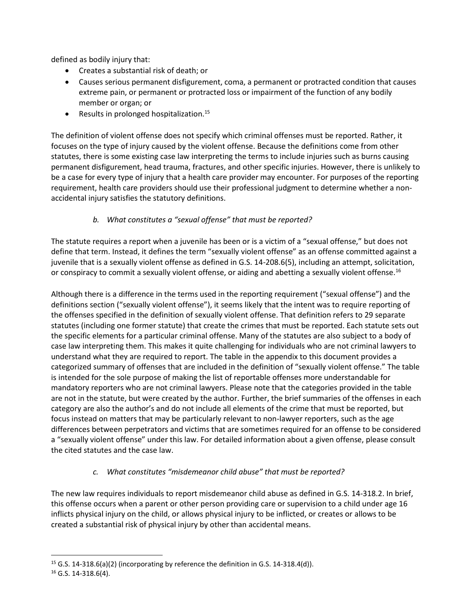defined as bodily injury that:

- Creates a substantial risk of death; or
- Causes serious permanent disfigurement, coma, a permanent or protracted condition that causes extreme pain, or permanent or protracted loss or impairment of the function of any bodily member or organ; or
- Results in prolonged hospitalization.<sup>15</sup>

The definition of violent offense does not specify which criminal offenses must be reported. Rather, it focuses on the type of injury caused by the violent offense. Because the definitions come from other statutes, there is some existing case law interpreting the terms to include injuries such as burns causing permanent disfigurement, head trauma, fractures, and other specific injuries. However, there is unlikely to be a case for every type of injury that a health care provider may encounter. For purposes of the reporting requirement, health care providers should use their professional judgment to determine whether a nonaccidental injury satisfies the statutory definitions.

# *b. What constitutes a "sexual offense" that must be reported?*

The statute requires a report when a juvenile has been or is a victim of a "sexual offense," but does not define that term. Instead, it defines the term "sexually violent offense" as an offense committed against a juvenile that is a sexually violent offense as defined in G.S. 14-208.6(5), including an attempt, solicitation, or conspiracy to commit a sexually violent offense, or aiding and abetting a sexually violent offense.<sup>16</sup>

Although there is a difference in the terms used in the reporting requirement ("sexual offense") and the definitions section ("sexually violent offense"), it seems likely that the intent was to require reporting of the offenses specified in the definition of sexually violent offense. That definition refers to 29 separate statutes (including one former statute) that create the crimes that must be reported. Each statute sets out the specific elements for a particular criminal offense. Many of the statutes are also subject to a body of case law interpreting them. This makes it quite challenging for individuals who are not criminal lawyers to understand what they are required to report. The table in the appendix to this document provides a categorized summary of offenses that are included in the definition of "sexually violent offense." The table is intended for the sole purpose of making the list of reportable offenses more understandable for mandatory reporters who are not criminal lawyers. Please note that the categories provided in the table are not in the statute, but were created by the author. Further, the brief summaries of the offenses in each category are also the author's and do not include all elements of the crime that must be reported, but focus instead on matters that may be particularly relevant to non-lawyer reporters, such as the age differences between perpetrators and victims that are sometimes required for an offense to be considered a "sexually violent offense" under this law. For detailed information about a given offense, please consult the cited statutes and the case law.

# *c. What constitutes "misdemeanor child abuse" that must be reported?*

The new law requires individuals to report misdemeanor child abuse as defined in G.S. 14-318.2. In brief, this offense occurs when a parent or other person providing care or supervision to a child under age 16 inflicts physical injury on the child, or allows physical injury to be inflicted, or creates or allows to be created a substantial risk of physical injury by other than accidental means.

<sup>&</sup>lt;sup>15</sup> G.S. 14-318.6(a)(2) (incorporating by reference the definition in G.S. 14-318.4(d)).

<sup>16</sup> G.S. 14-318.6(4).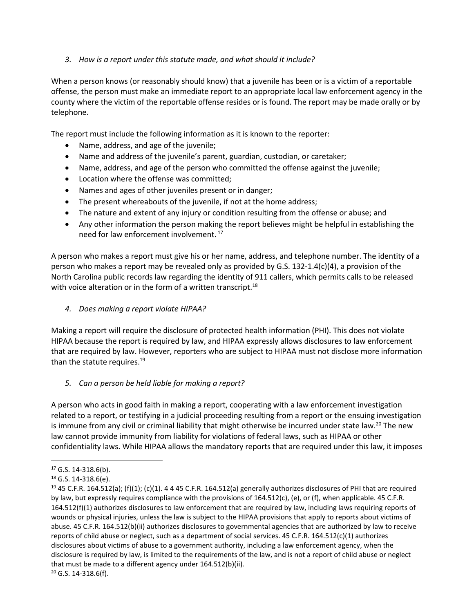# *3. How is a report under this statute made, and what should it include?*

When a person knows (or reasonably should know) that a juvenile has been or is a victim of a reportable offense, the person must make an immediate report to an appropriate local law enforcement agency in the county where the victim of the reportable offense resides or is found. The report may be made orally or by telephone.

The report must include the following information as it is known to the reporter:

- Name, address, and age of the juvenile;
- Name and address of the juvenile's parent, guardian, custodian, or caretaker;
- Name, address, and age of the person who committed the offense against the juvenile;
- Location where the offense was committed;
- Names and ages of other juveniles present or in danger;
- The present whereabouts of the juvenile, if not at the home address;
- The nature and extent of any injury or condition resulting from the offense or abuse; and
- Any other information the person making the report believes might be helpful in establishing the need for law enforcement involvement.<sup>17</sup>

A person who makes a report must give his or her name, address, and telephone number. The identity of a person who makes a report may be revealed only as provided by G.S. 132-1.4(c)(4), a provision of the North Carolina public records law regarding the identity of 911 callers, which permits calls to be released with voice alteration or in the form of a written transcript.<sup>18</sup>

# *4. Does making a report violate HIPAA?*

Making a report will require the disclosure of protected health information (PHI). This does not violate HIPAA because the report is required by law, and HIPAA expressly allows disclosures to law enforcement that are required by law. However, reporters who are subject to HIPAA must not disclose more information than the statute requires.<sup>19</sup>

# *5. Can a person be held liable for making a report?*

A person who acts in good faith in making a report, cooperating with a law enforcement investigation related to a report, or testifying in a judicial proceeding resulting from a report or the ensuing investigation is immune from any civil or criminal liability that might otherwise be incurred under state law.<sup>20</sup> The new law cannot provide immunity from liability for violations of federal laws, such as HIPAA or other confidentiality laws. While HIPAA allows the mandatory reports that are required under this law, it imposes

 $17$  G.S. 14-318.6(b).

<sup>18</sup> G.S. 14-318.6(e).

<sup>&</sup>lt;sup>19</sup> 45 C.F.R. 164.512(a); (f)(1); (c)(1). 4 4 45 C.F.R. 164.512(a) generally authorizes disclosures of PHI that are required by law, but expressly requires compliance with the provisions of 164.512(c), (e), or (f), when applicable. 45 C.F.R. 164.512(f)(1) authorizes disclosures to law enforcement that are required by law, including laws requiring reports of wounds or physical injuries, unless the law is subject to the HIPAA provisions that apply to reports about victims of abuse. 45 C.F.R. 164.512(b)(ii) authorizes disclosures to governmental agencies that are authorized by law to receive reports of child abuse or neglect, such as a department of social services. 45 C.F.R. 164.512(c)(1) authorizes disclosures about victims of abuse to a government authority, including a law enforcement agency, when the disclosure is required by law, is limited to the requirements of the law, and is not a report of child abuse or neglect that must be made to a different agency under 164.512(b)(ii).

<sup>20</sup> G.S. 14-318.6(f).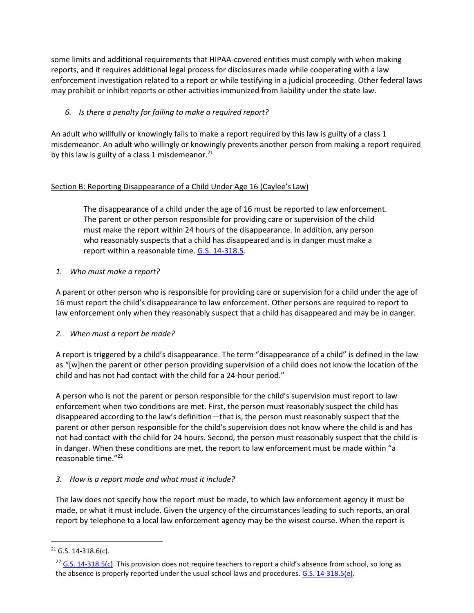some limits and additional requirements that HIPAA-covered entities must comply with when making reports, and it requires additional legal process for disclosures made while cooperating with a law enforcement investigation related to a report or while testifying in a judicial proceeding. Other federal laws may prohibit or inhibit reports or other activities immunized from liability under the state law.

# *6. Is there a penalty for failing to make a required report?*

An adult who willfully or knowingly fails to make a report required by this law is guilty of a class 1 misdemeanor. An adult who willingly or knowingly prevents another person from making a report required by this law is guilty of a class 1 misdemeanor. $^{21}$ 

# Section B: Reporting Disappearance of a Child Under Age 16 (Caylee's Law)

The disappearance of a child under the age of 16 must be reported to law enforcement. The parent or other person responsible for providing care or supervision of the child must make the report within 24 hours of the disappearance. In addition, any person who reasonably suspects that a child has disappeared and is in danger must make a report within a reasonable time. [G.S. 14-318.5.](https://www.ncleg.net/gascripts/statutes/statutelookup.pl?statute=14-318.5)

# *1. Who must make a report?*

A parent or other person who is responsible for providing care or supervision for a child under the age of 16 must report the child's disappearance to law enforcement. Other persons are required to report to law enforcement only when they reasonably suspect that a child has disappeared and may be in danger.

# *2. When must a report be made?*

A report is triggered by a child's disappearance. The term "disappearance of a child" is defined in the law as "[w]hen the parent or other person providing supervision of a child does not know the location of the child and has not had contact with the child for a 24-hour period."

A person who is not the parent or person responsible for the child's supervision must report to law enforcement when two conditions are met. First, the person must reasonably suspect the child has disappeared according to the law's definition—that is, the person must reasonably suspect that the parent or other person responsible for the child's supervision does not know where the child is and has not had contact with the child for 24 hours. Second, the person must reasonably suspect that the child is in danger. When these conditions are met, the report to law enforcement must be made within "a reasonable time."<sup>22</sup>

# *3. How is a report made and what must it include?*

The law does not specify how the report must be made, to which law enforcement agency it must be made, or what it must include. Given the urgency of the circumstances leading to such reports, an oral report by telephone to a local law enforcement agency may be the wisest course. When the report is

 $21$  G.S. 14-318.6(c).

<sup>&</sup>lt;sup>22</sup> [G.S. 14-318.5\(c\).](https://www.ncleg.net/gascripts/statutes/statutelookup.pl?statute=14-318.5) This provision does not require teachers to report a child's absence from school, so long as the absence is properly reported under the usual school laws and procedures[. G.S. 14-318.5\(e\).](https://www.ncleg.net/gascripts/statutes/statutelookup.pl?statute=14-318.5)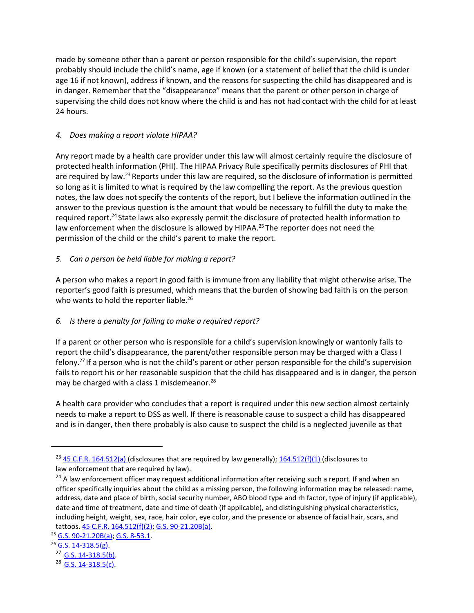made by someone other than a parent or person responsible for the child's supervision, the report probably should include the child's name, age if known (or a statement of belief that the child is under age 16 if not known), address if known, and the reasons for suspecting the child has disappeared and is in danger. Remember that the "disappearance" means that the parent or other person in charge of supervising the child does not know where the child is and has not had contact with the child for at least 24 hours.

# *4. Does making a report violate HIPAA?*

Any report made by a health care provider under this law will almost certainly require the disclosure of protected health information (PHI). The HIPAA Privacy Rule specifically permits disclosures of PHI that are required by law.<sup>23</sup> Reports under this law are required, so the disclosure of information is permitted so long as it is limited to what is required by the law compelling the report. As the previous question notes, the law does not specify the contents of the report, but I believe the information outlined in the answer to the previous question is the amount that would be necessary to fulfill the duty to make the required report.<sup>24</sup> State laws also expressly permit the disclosure of protected health information to law enforcement when the disclosure is allowed by HIPAA.<sup>25</sup> The reporter does not need the permission of the child or the child's parent to make the report.

## *5. Can a person be held liable for making a report?*

A person who makes a report in good faith is immune from any liability that might otherwise arise. The reporter's good faith is presumed, which means that the burden of showing bad faith is on the person who wants to hold the reporter liable.<sup>26</sup>

# *6. Is there a penalty for failing to make a required report?*

If a parent or other person who is responsible for a child's supervision knowingly or wantonly fails to report the child's disappearance, the parent/other responsible person may be charged with a Class I felony.<sup>27</sup> If a person who is not the child's parent or other person responsible for the child's supervision fails to report his or her reasonable suspicion that the child has disappeared and is in danger, the person may be charged with a class 1 misdemeanor.<sup>28</sup>

A health care provider who concludes that a report is required under this new section almost certainly needs to make a report to DSS as well. If there is reasonable cause to suspect a child has disappeared and is in danger, then there probably is also cause to suspect the child is a neglected juvenile as that

 $23$  [45 C.F.R. 164.512\(a\) \(](https://www.ecfr.gov/cgi-bin/text-idx?SID=b73b1b370f7aa1468cf29a783bf93ba1&mc=true&node=se45.1.164_1512&rgn=div8)disclosures that are required by law generally);  $164.512(f)(1)$  (disclosures to law enforcement that are required by law).

<sup>&</sup>lt;sup>24</sup> A law enforcement officer may request additional information after receiving such a report. If and when an officer specifically inquiries about the child as a missing person, the following information may be released: name, address, date and place of birth, social security number, ABO blood type and rh factor, type of injury (if applicable), date and time of treatment, date and time of death (if applicable), and distinguishing physical characteristics, including height, weight, sex, race, hair color, eye color, and the presence or absence of facial hair, scars, and tattoos. [45 C.F.R. 164.512\(f\)\(2\);](https://www.ecfr.gov/cgi-bin/text-idx?SID=b73b1b370f7aa1468cf29a783bf93ba1&mc=true&node=se45.1.164_1512&rgn=div8) [G.S. 90-21.20B\(a\).](https://www.ncleg.net/gascripts/statutes/statutelookup.pl?statute=90-21.20B)

<sup>25</sup> [G.S. 90-21.20B\(a\);](https://www.ncleg.net/gascripts/statutes/statutelookup.pl?statute=90-21.20B) [G.S. 8-53.1.](https://www.ncleg.net/gascripts/statutes/statutelookup.pl?statute=8-53.1)

 $26$  [G.S. 14-318.5\(g\).](https://www.ncleg.net/gascripts/statutes/statutelookup.pl?statute=14-318.5)

 $^{27}$  [G.S. 14-318.5\(b\).](https://www.ncleg.net/gascripts/statutes/statutelookup.pl?statute=14-318.5)

<sup>&</sup>lt;sup>28</sup> [G.S. 14-318.5\(c\).](https://www.ncleg.net/gascripts/statutes/statutelookup.pl?statute=14-318.5)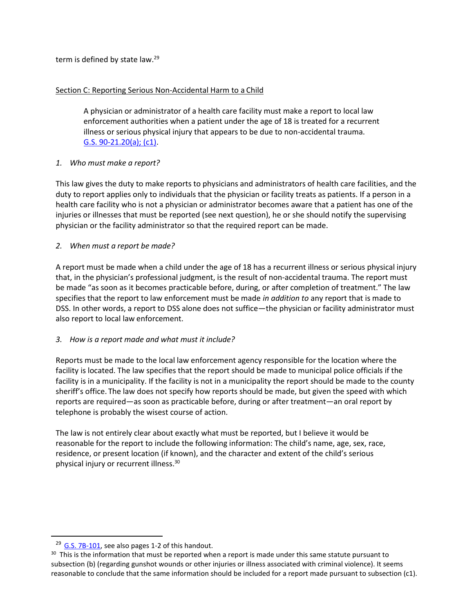term is defined by state law.<sup>29</sup>

## Section C: Reporting Serious Non-Accidental Harm to a Child

A physician or administrator of a health care facility must make a report to local law enforcement authorities when a patient under the age of 18 is treated for a recurrent illness or serious physical injury that appears to be due to non-accidental trauma. [G.S. 90-21.20\(a\); \(c1\).](https://www.ncleg.net/gascripts/statutes/statutelookup.pl?statute=90-21.20B)

## *1. Who must make a report?*

This law gives the duty to make reports to physicians and administrators of health care facilities, and the duty to report applies only to individuals that the physician or facility treats as patients. If a person in a health care facility who is not a physician or administrator becomes aware that a patient has one of the injuries or illnesses that must be reported (see next question), he or she should notify the supervising physician or the facility administrator so that the required report can be made.

## *2. When must a report be made?*

A report must be made when a child under the age of 18 has a recurrent illness or serious physical injury that, in the physician's professional judgment, is the result of non-accidental trauma. The report must be made "as soon as it becomes practicable before, during, or after completion of treatment." The law specifies that the report to law enforcement must be made *in addition to* any report that is made to DSS. In other words, a report to DSS alone does not suffice—the physician or facility administrator must also report to local law enforcement.

#### *3. How is a report made and what must it include?*

Reports must be made to the local law enforcement agency responsible for the location where the facility is located. The law specifies that the report should be made to municipal police officials if the facility is in a municipality. If the facility is not in a municipality the report should be made to the county sheriff's office. The law does not specify how reports should be made, but given the speed with which reports are required—as soon as practicable before, during or after treatment—an oral report by telephone is probably the wisest course of action.

The law is not entirely clear about exactly what must be reported, but I believe it would be reasonable for the report to include the following information: The child's name, age, sex, race, residence, or present location (if known), and the character and extent of the child's serious physical injury or recurrent illness.<sup>30</sup>

 $29$  [G.S. 7B-101,](https://www.ncleg.net/gascripts/statutes/statutelookup.pl?statute=7b-101) see also pages 1-2 of this handout.

 $30$  This is the information that must be reported when a report is made under this same statute pursuant to subsection (b) (regarding gunshot wounds or other injuries or illness associated with criminal violence). It seems reasonable to conclude that the same information should be included for a report made pursuant to subsection (c1).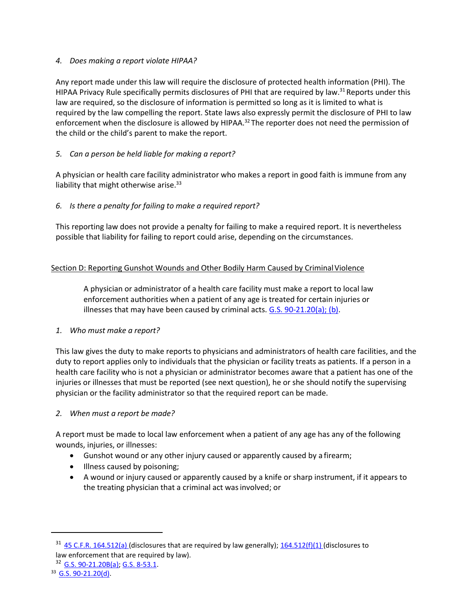## *4. Does making a report violate HIPAA?*

Any report made under this law will require the disclosure of protected health information (PHI). The HIPAA Privacy Rule specifically permits disclosures of PHI that are required by law.<sup>31</sup> Reports under this law are required, so the disclosure of information is permitted so long as it is limited to what is required by the law compelling the report. State laws also expressly permit the disclosure of PHI to law enforcement when the disclosure is allowed by HIPAA.<sup>32</sup> The reporter does not need the permission of the child or the child's parent to make the report.

# *5. Can a person be held liable for making a report?*

A physician or health care facility administrator who makes a report in good faith is immune from any liability that might otherwise arise. $33$ 

## *6. Is there a penalty for failing to make a required report?*

This reporting law does not provide a penalty for failing to make a required report. It is nevertheless possible that liability for failing to report could arise, depending on the circumstances.

## Section D: Reporting Gunshot Wounds and Other Bodily Harm Caused by Criminal Violence

A physician or administrator of a health care facility must make a report to local law enforcement authorities when a patient of any age is treated for certain injuries or illnesses that may have been caused by criminal acts.  $G.S. 90-21.20(a); (b)$ .

#### *1. Who must make a report?*

This law gives the duty to make reports to physicians and administrators of health care facilities, and the duty to report applies only to individuals that the physician or facility treats as patients. If a person in a health care facility who is not a physician or administrator becomes aware that a patient has one of the injuries or illnesses that must be reported (see next question), he or she should notify the supervising physician or the facility administrator so that the required report can be made.

#### *2. When must a report be made?*

A report must be made to local law enforcement when a patient of any age has any of the following wounds, injuries, or illnesses:

- Gunshot wound or any other injury caused or apparently caused by a firearm;
- Illness caused by poisoning;
- A wound or injury caused or apparently caused by a knife or sharp instrument, if it appears to the treating physician that a criminal act was involved; or

 $31$  [45 C.F.R. 164.512\(a\) \(](https://www.ecfr.gov/cgi-bin/text-idx?SID=b73b1b370f7aa1468cf29a783bf93ba1&mc=true&node=se45.1.164_1512&rgn=div8)disclosures that are required by law generally); [164.512\(f\)\(1\) \(](https://www.ecfr.gov/cgi-bin/text-idx?SID=b73b1b370f7aa1468cf29a783bf93ba1&mc=true&node=se45.1.164_1512&rgn=div8)disclosures to law enforcement that are required by law).

<sup>32</sup> [G.S. 90-21.20B\(a\);](https://www.ncleg.net/gascripts/statutes/statutelookup.pl?statute=90-21.20B) [G.S. 8-53.1.](https://www.ncleg.net/gascripts/statutes/statutelookup.pl?statute=8-53.1)

<sup>33</sup> [G.S. 90-21.20\(d\).](https://www.ncleg.net/gascripts/statutes/statutelookup.pl?statute=90-21.20B)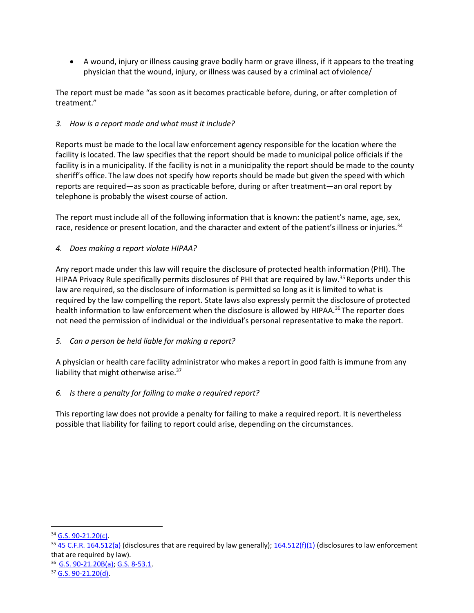• A wound, injury or illness causing grave bodily harm or grave illness, if it appears to the treating physician that the wound, injury, or illness was caused by a criminal act of violence/

The report must be made "as soon as it becomes practicable before, during, or after completion of treatment."

## *3. How is a report made and what must it include?*

Reports must be made to the local law enforcement agency responsible for the location where the facility is located. The law specifies that the report should be made to municipal police officials if the facility is in a municipality. If the facility is not in a municipality the report should be made to the county sheriff's office. The law does not specify how reports should be made but given the speed with which reports are required—as soon as practicable before, during or after treatment—an oral report by telephone is probably the wisest course of action.

The report must include all of the following information that is known: the patient's name, age, sex, race, residence or present location, and the character and extent of the patient's illness or injuries.<sup>34</sup>

## *4. Does making a report violate HIPAA?*

Any report made under this law will require the disclosure of protected health information (PHI). The HIPAA Privacy Rule specifically permits disclosures of PHI that are required by law.<sup>35</sup> Reports under this law are required, so the disclosure of information is permitted so long as it is limited to what is required by the law compelling the report. State laws also expressly permit the disclosure of protected health information to law enforcement when the disclosure is allowed by HIPAA.<sup>36</sup> The reporter does not need the permission of individual or the individual's personal representative to make the report.

#### *5. Can a person be held liable for making a report?*

A physician or health care facility administrator who makes a report in good faith is immune from any liability that might otherwise arise.<sup>37</sup>

#### *6. Is there a penalty for failing to make a required report?*

This reporting law does not provide a penalty for failing to make a required report. It is nevertheless possible that liability for failing to report could arise, depending on the circumstances.

<sup>34</sup> [G.S. 90-21.20\(c\).](https://www.ncleg.net/gascripts/statutes/statutelookup.pl?statute=90-21.20B)

 $35$  [45 C.F.R. 164.512\(a\) \(](https://www.ecfr.gov/cgi-bin/text-idx?SID=b73b1b370f7aa1468cf29a783bf93ba1&mc=true&node=se45.1.164_1512&rgn=div8)disclosures that are required by law generally);  $164.512(f)(1)$  (disclosures to law enforcement that are required by law).

<sup>36</sup> [G.S. 90-21.20B\(a\);](https://www.ncleg.net/gascripts/statutes/statutelookup.pl?statute=90-21.20B) [G.S. 8-53.1.](https://www.ncleg.net/gascripts/statutes/statutelookup.pl?statute=8-53.1)

<sup>37</sup> [G.S. 90-21.20\(d\).](https://www.ncleg.net/gascripts/statutes/statutelookup.pl?statute=90-21.20B)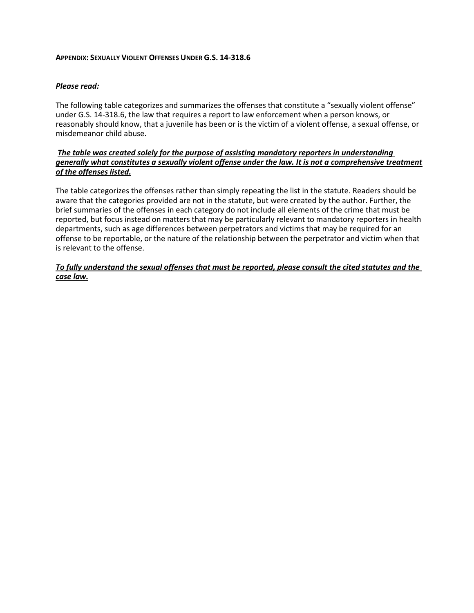#### **APPENDIX: SEXUALLY VIOLENT OFFENSES UNDER G.S. 14-318.6**

#### *Please read:*

The following table categorizes and summarizes the offenses that constitute a "sexually violent offense" under G.S. 14-318.6, the law that requires a report to law enforcement when a person knows, or reasonably should know, that a juvenile has been or is the victim of a violent offense, a sexual offense, or misdemeanor child abuse.

#### *The table was created solely for the purpose of assisting mandatory reporters in understanding generally what constitutes a sexually violent offense under the law. It is not a comprehensive treatment of the offenses listed.*

The table categorizes the offenses rather than simply repeating the list in the statute. Readers should be aware that the categories provided are not in the statute, but were created by the author. Further, the brief summaries of the offenses in each category do not include all elements of the crime that must be reported, but focus instead on matters that may be particularly relevant to mandatory reporters in health departments, such as age differences between perpetrators and victims that may be required for an offense to be reportable, or the nature of the relationship between the perpetrator and victim when that is relevant to the offense.

*To fully understand the sexual offenses that must be reported, please consult the cited statutes and the case law.*